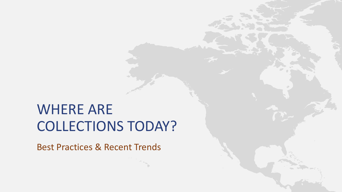## WHERE ARE COLLECTIONS TODAY?

Best Practices & Recent Trends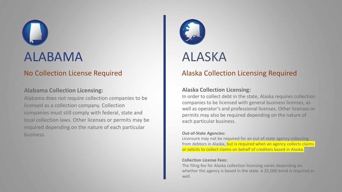## ALABAMA

## No Collection License Required

## **Alabama Collection Licensing:**

Alabama does not require collection companies to be licensed as a collection company. Collection companies must still comply with federal, state and local collection laws. Other licenses or permits may be required depending on the nature of each particular business.



## ALASKA

## Alaska Collection Licensing Required

## **Alaska Collection Licensing:**

In order to collect debt in the state, Alaska requires collection companies to be licensed with general business licenses, as well as operator's and professional licenses. Other licenses or permits may also be required depending on the nature of each particular business.

## **Out-of-State Agencies:**

Licensure may not be required for an out-of-state agency collecting from debtors in Alaska, but is required when an agency collects claims or solicits to collect claims on behalf of creditors based in Alaska.

### **Collection License Fees:**

The filing fee for Alaska collection licensing varies depending on whether the agency is based in the state. A \$5,000 bond is required as well.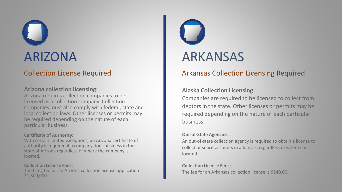## ARIZONA

## Collection License Required

## **Arizona collection licensing:**

Arizona requires collection companies to be licensed as a collection company. Collection companies must also comply with federal, state and local collection laws. Other licenses or permits may be required depending on the nature of each particular business.

## **Certificate of Authority:**

With certain limited exceptions, an Arizona certificate of authority is required if a company does business in the state of Arizona regardless of where the company is located.

## **Collection License Fees:**

The filing fee for an Arizona collection license application is \$1,500,000.



## Arkansas Collection Licensing Required

## **Alaska Collection Licensing:**

Companies are required to be licensed to collect from debtors in the state. Other licenses or permits may be required depending on the nature of each particular business.

## **Out-of-State Agencies:**

An out-of-state collection agency is required to obtain a license to collect or solicit accounts in arkansas, regardless of where it is located.

## **Collection License Fees:**

The fee for an Arkansas collection license is \$140.00.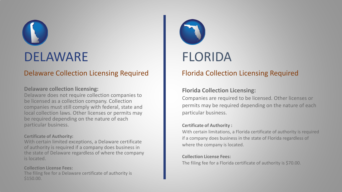## DELAWARE

## Delaware Collection Licensing Required

## **Delaware collection licensing:**

Delaware does not require collection companies to be licensed as a collection company. Collection companies must still comply with federal, state and local collection laws. Other licenses or permits may be required depending on the nature of each particular business.

## **Certificate of Authority:**

With certain limited exceptions, a Delaware certificate of authority is required if a company does business in the state of Delaware regardless of where the company is located.

## **Collection License Fees:**

The filing fee for a Delaware certificate of authority is \$150.00.



## FLORIDA

## Florida Collection Licensing Required

## **Florida Collection Licensing:**

Companies are required to be licensed. Other licenses or permits may be required depending on the nature of each particular business.

## **Certificate of Authority :**

With certain limitations, a Florida certificate of authority is required if a company does business in the state of Florida regardless of where the company is located.

## **Collection License Fees:**

The filing fee for a Florida certificate of authority is \$70.00.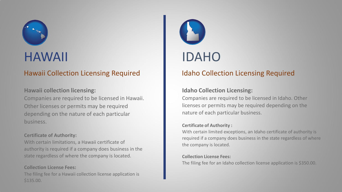

## HAWAII

## Hawaii Collection Licensing Required

## **Hawaii collection licensing:**

Companies are required to be licensed in Hawaii. Other licenses or permits may be required depending on the nature of each particular business.

## **Certificate of Authority:**

With certain limitations, a Hawaii certificate of authority is required if a company does business in the state regardless of where the company is located.

## **Collection License Fees:**

The filing fee for a Hawaii collection license application is \$135.00.



## Idaho Collection Licensing Required

## **Idaho Collection Licensing:**

Companies are required to be licensed in Idaho. Other licenses or permits may be required depending on the nature of each particular business.

## **Certificate of Authority :**

With certain limited exceptions, an Idaho certificate of authority is required if a company does business in the state regardless of where the company is located.

## **Collection License Fees:**

The filing fee for an Idaho collection license application is \$350.00.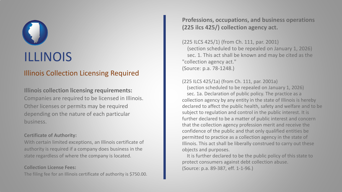## Illinois Collection Licensing Required

**Illinois collection licensing requirements:** Companies are required to be licensed in Illinois. Other licenses or permits may be required depending on the nature of each particular business.

## **Certificate of Authority:**

With certain limited exceptions, an Illinois certificate of authority is required if a company does business in the state regardless of where the company is located.

## **Collection License Fees:**

The filing fee for an Illinois certificate of authority is \$750.00.

**Professions, occupations, and business operations (225 ilcs 425/) collection agency act.**

(225 ILCS 425/1) (from Ch. 111, par. 2001) (section scheduled to be repealed on January 1, 2026) sec. 1. This act shall be known and may be cited as the "collection agency act." (Source: p.a. 78-1248.)

## (225 ILCS 425/1a) (from Ch. 111, par. 2001a)

(section scheduled to be repealed on January 1, 2026) sec. 1a. Declaration of public policy. The practice as a collection agency by any entity in the state of Illinois is hereby declared to affect the public health, safety and welfare and to be subject to regulation and control in the public interest. It is further declared to be a matter of public interest and concern that the collection agency profession merit and receive the confidence of the public and that only qualified entities be permitted to practice as a collection agency in the state of Illinois. This act shall be liberally construed to carry out these objects and purposes.

It is further declared to be the public policy of this state to protect consumers against debt collection abuse. (Source: p.a. 89-387, eff. 1-1-96.)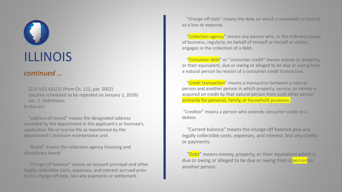## *continued …*

(225 ILCS 425/2) (from Ch. 111, par. 2002) (section scheduled to be repealed on January 1, 2026) sec. 2. Definitions. In this act:

"address of record" means the designated address recorded by the department in the applicant's or licensee's application file or license file as maintained by the department's licensure maintenance unit.

"Board" means the collection agency licensing and disciplinary board.

"Charge-off balance" means an account principal and other legally collectible costs, expenses, and interest accrued prior to the charge-off date, less any payments or settlement.

"Charge-off date" means the date on which a receivable is treated as a loss or expense.

"Collection agency" means any person who, in the ordinary course of business, regularly, on behalf of himself or herself or others, engages in the collection of a debt.

"Consumer debt" or "consumer credit" means money or property, or their equivalent, due or owing or alleged to be due or owing from a natural person by reason of a consumer credit transaction.

"Credit transaction" means a transaction between a natural person and another person in which property, service, or money is acquired on credit by that natural person from such other person primarily for personal, family, or household purposes.

"Creditor" means a person who extends consumer credit to a debtor.

"Current balance" means the charge-off balance plus any legally collectible costs, expenses, and interest, less any credits or payments.

"Debt" means money, property, or their equivalent which is due or owing or alleged to be due or owing from a person to another person.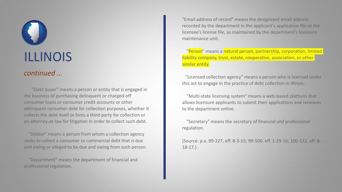## *continued …*

"Debt buyer" means a person or entity that is engaged in the business of purchasing delinquent or charged-off consumer loans or consumer credit accounts or other delinquent consumer debt for collection purposes, whether it collects the debt itself or hires a third-party for collection or an attorney-at-law for litigation in order to collect such debt.

"Debtor" means a person from whom a collection agency seeks to collect a consumer or commercial debt that is due and owing or alleged to be due and owing from such person.

"Department" means the department of financial and professional regulation.

"Email address of record" means the designated email address recorded by the department in the applicant's application file or the licensee's license file, as maintained by the department's licensure maintenance unit.

"Person" means a natural person, partnership, corporation, limited liability company, trust, estate, cooperative, association, or other similar entity.

"Licensed collection agency" means a person who is licensed under this act to engage in the practice of debt collection in Illinois.

"Multi-state licensing system" means a web-based platform that allows licensure applicants to submit their applications and renewals to the department online.

"Secretary" means the secretary of financial and professional regulation.

(Source: p.a. 99-227, eff. 8-3-15; 99-500, eff. 1-29-16; 100-132, eff. 8- 18-17.)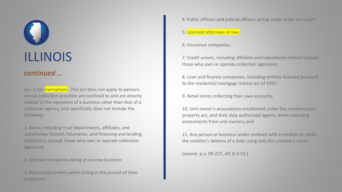## *continued …*

Sec. 2.03. Exemptions. This act does not apply to persons whose collection activities are confined to and are directly related to the operation of a business other than that of a collection agency, and specifically does not include the following:

1. Banks, including trust departments, affiliates, and subsidiaries thereof, fiduciaries, and financing and lending institutions (except those who own or operate collection agencies);

2. Abstract companies doing an escrow business

3. Real estate brokers when acting in the pursuit of their profession;

4. Public officers and judicial officers acting under order of a court

## 5. Licensed attorneys at law;

6. Insurance companies;

7. Credit unions, including affiliates and subsidiaries thereof (except those who own or operate collection agencies);

8. Loan and finance companies, including entities licensed pursuant to the residential mortgage license act of 1987;

9. Retail stores collecting their own accounts;

10. Unit owner's associations established under the condominium property act, and their duly authorized agents, when collecting assessments from unit owners; and

11. Any person or business under contract with a creditor to notify the creditor's debtors of a debt using only the creditor's name.

(source: p.a. 99-227, eff. 8-3-15.)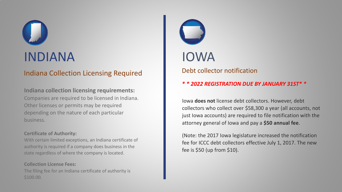## INDIANA

## Indiana Collection Licensing Required

**Indiana collection licensing requirements:** Companies are required to be licensed in Indiana. Other licenses or permits may be required depending on the nature of each particular business.

## **Certificate of Authority:**

With certain limited exceptions, an Indiana certificate of authority is required if a company does business in the state regardless of where the company is located.

**Collection License Fees:** The filing fee for an Indiana certificate of authority is \$100.00.



Debt collector notification

## *\* \* 2022 REGISTRATION DUE BY JANUARY 31ST\* \**

Iowa **does not** license debt collectors. However, debt collectors who collect over \$58,300 a year (all accounts, not just Iowa accounts) are required to file notification with the attorney general of Iowa and pay a **\$50 annual fee**.

(Note: the 2017 Iowa legislature increased the notification fee for ICCC debt collectors effective July 1, 2017. The new fee is \$50 (up from \$10).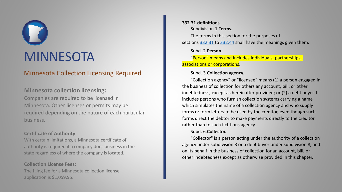# MINNESOTA

## Minnesota Collection Licensing Required

## **Minnesota collection licensing:**

Companies are required to be licensed in Minnesota. Other licenses or permits may be required depending on the nature of each particular business.

## **Certificate of Authority:**

With certain limitations, a Minnesota certificate of authority is required if a company does business in the state regardless of where the company is located.

## **Collection License Fees:**

The filing fee for a Minnesota collection license application is \$1,059.95.

## **332.31 definitions.**

Subdivision 1.**Terms.**

The terms in this section for the purposes of sections [332.31](https://www.revisor.mn.gov/statutes/cite/332.31) to [332.44](https://www.revisor.mn.gov/statutes/cite/332.44) shall have the meanings given them.

## Subd. 2.**Person.**

"Person" means and includes individuals, partnerships, associations or corporations.

## Subd. 3.**Collection agency.**

"Collection agency" or "licensee" means (1) a person engaged in the business of collection for others any account, bill, or other indebtedness, except as hereinafter provided; or (2) a debt buyer. It includes persons who furnish collection systems carrying a name which simulates the name of a collection agency and who supply forms or form letters to be used by the creditor, even though such forms direct the debtor to make payments directly to the creditor rather than to such fictitious agency.

## Subd. 6.**Collector.**

"Collector" is a person acting under the authority of a collection agency under subdivision 3 or a debt buyer under subdivision 8, and on its behalf in the business of collection for an account, bill, or other indebtedness except as otherwise provided in this chapter.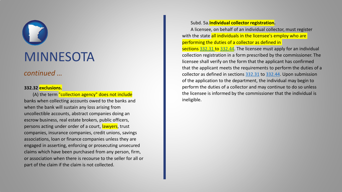## **MINNESOTA**

## *continued …*

## **332.32 exclusions.**

(A) the term "collection agency" does not include banks when collecting accounts owed to the banks and when the bank will sustain any loss arising from uncollectible accounts, abstract companies doing an escrow business, real estate brokers, public officers, persons acting under order of a court, lawyers, trust companies, insurance companies, credit unions, savings associations, loan or finance companies unless they are engaged in asserting, enforcing or prosecuting unsecured claims which have been purchased from any person, firm, or association when there is recourse to the seller for all or part of the claim if the claim is not collected.

## Subd. 5a.**Individual collector registration.**

A licensee, on behalf of an individual collector, must register with the state all individuals in the licensee's employ who are performing the duties of a collector as defined in

sections [332.31](https://www.revisor.mn.gov/statutes/cite/332.31) to [332.44](https://www.revisor.mn.gov/statutes/cite/332.44). The licensee must apply for an individual collection registration in a form prescribed by the commissioner. The licensee shall verify on the form that the applicant has confirmed that the applicant meets the requirements to perform the duties of a collector as defined in sections [332.31](https://www.revisor.mn.gov/statutes/cite/332.31) to [332.44](https://www.revisor.mn.gov/statutes/cite/332.44). Upon submission of the application to the department, the individual may begin to perform the duties of a collector and may continue to do so unless the licensee is informed by the commissioner that the individual is ineligible.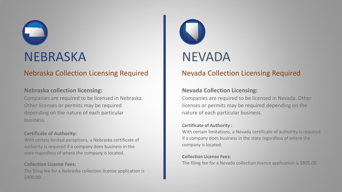## NEBRASKA

## Nebraska Collection Licensing Required

## **Nebraska collection licensing:**

Companies are required to be licensed in Nebraska. Other licenses or permits may be required depending on the nature of each particular business.

## **Certificate of Authority:**

With certain limited exceptions, a Nebraska certificate of authority is required if a company does business in the state regardless of where the company is located.

## **Collection License Fees:**

The filing fee for a Nebraska collection license application is \$400.00.



## Nevada Collection Licensing Required

## **Nevada Collection Licensing:**

Companies are required to be licensed in Nevada. Other licenses or permits may be required depending on the nature of each particular business.

## **Certificate of Authority :**

With certain limitations, a Nevada certificate of authority is required if a company does business in the state regardless of where the company is located.

## **Collection License Fees:**

The filing fee for a Nevada collection license application is \$805.00.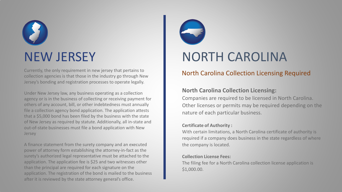# NEW JERSEY

Currently, the only requirement in new jersey that pertains to collection agencies is that those in the industry go through New Jersey's bonding and registration processes to operate legally.

Under New Jersey law, any business operating as a collection agency or is in the business of collecting or receiving payment for others of any account, bill, or other indebtedness must annually file a collection agency bond application. The application attests that a \$5,000 bond has been filed by the business with the state of New Jersey as required by statute. Additionally, all in-state and out-of-state businesses must file a bond application with New Jersey

A finance statement from the surety company and an executed power of attorney form establishing the attorney-in-fact as the surety's authorized legal representative must be attached to the application. The application fee is \$25 and two witnesses other than the principal are required for each signature on the application. The registration of the bond is mailed to the business after it is reviewed by the state attorney general's office.



## NORTH CAROLINA

## North Carolina Collection Licensing Required

## **North Carolina Collection Licensing:**

Companies are required to be licensed in North Carolina. Other licenses or permits may be required depending on the nature of each particular business.

## **Certificate of Authority :**

With certain limitations, a North Carolina certificate of authority is required if a company does business in the state regardless of where the company is located.

## **Collection License Fees:**

The filing fee for a North Carolina collection license application is \$1,000.00.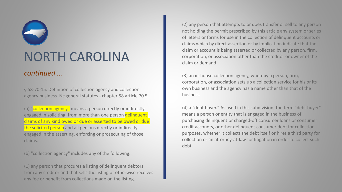# NORTH CAROLINA

## *continued …*

§ 58-70-15. Definition of collection agency and collection agency business. Nc general statutes - chapter 58 article 70 5

(a) "collection agency" means a person directly or indirectly engaged in soliciting, from more than one person delinquent claims of any kind owed or due or asserted to be owed or due the solicited person and all persons directly or indirectly engaged in the asserting, enforcing or prosecuting of those claims.

(b) "collection agency" includes any of the following:

(1) any person that procures a listing of delinquent debtors from any creditor and that sells the listing or otherwise receives any fee or benefit from collections made on the listing.

(2) any person that attempts to or does transfer or sell to any person not holding the permit prescribed by this article any system or series of letters or forms for use in the collection of delinquent accounts or claims which by direct assertion or by implication indicate that the claim or account is being asserted or collected by any person, firm, corporation, or association other than the creditor or owner of the claim or demand.

(3) an in-house collection agency, whereby a person, firm, corporation, or association sets up a collection service for his or its own business and the agency has a name other than that of the business.

(4) a "debt buyer." As used in this subdivision, the term "debt buyer" means a person or entity that is engaged in the business of purchasing delinquent or charged-off consumer loans or consumer credit accounts, or other delinquent consumer debt for collection purposes, whether it collects the debt itself or hires a third party for collection or an attorney-at-law for litigation in order to collect such debt.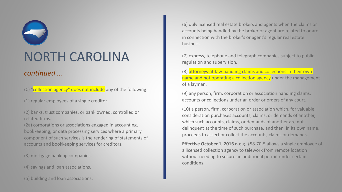# NORTH CAROLINA

## *continued …*

(C) "collection agency" does not include any of the following:

(1) regular employees of a single creditor.

(2) banks, trust companies, or bank owned, controlled or related firms.

(2a) corporations or associations engaged in accounting, bookkeeping, or data processing services where a primary component of such services is the rendering of statements of accounts and bookkeeping services for creditors.

(3) mortgage banking companies.

(4) savings and loan associations.

(5) building and loan associations.

(6) duly licensed real estate brokers and agents when the claims or accounts being handled by the broker or agent are related to or are in connection with the broker's or agent's regular real estate business.

(7) express, telephone and telegraph companies subject to public regulation and supervision.

(8) attorneys-at-law handling claims and collections in their own name and not operating a collection agency under the management of a layman.

(9) any person, firm, corporation or association handling claims, accounts or collections under an order or orders of any court.

(10) a person, firm, corporation or association which, for valuable consideration purchases accounts, claims, or demands of another, which such accounts, claims, or demands of another are not delinquent at the time of such purchase, and then, in its own name, proceeds to assert or collect the accounts, claims or demands.

**Effective October 1, 2016 n.c.g.** §58-70-5 allows a single employee of a licensed collection agency to telework from remote location without needing to secure an additional permit under certain conditions.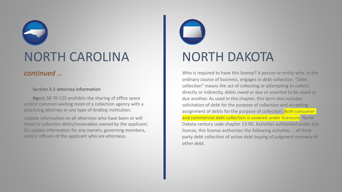## NORTH CAROLINA

## *continued …*

**Section 3.1-attorney information**

**Ngcs**§ 58-70-125 prohibits the sharing of office space and/or common waiting room of a collection agency with a practicing attorney or any type of lending institution.

Update information on all attorneys who have been or will hired to collection debts/receivables owned by the applicant; (b) update information for any owners, governing members, and/or officers of the applicant who are attorneys**.**

## NORTH DAKOTA

Who is required to have this license? A person or entity who, in the ordinary course of business, engages in debt collection. "Debt collection" means the act of collecting or attempting to collect, directly or indirectly, debts owed or due or asserted to be owed or due another. As used in this chapter, this term also includes solicitation of debt for the purpose of collection and accepting assignment of debts for the purpose of collection. Both consumer and commercial debt collection is covered under licensure. North Dakota century code chapter 13-05. Activities authorized under this license, this license authorizes the following activities … of thirdparty debt collection of active debt buying of judgment recovery of other debt.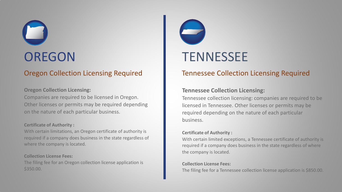## **OREGON**

## Oregon Collection Licensing Required

## **Oregon Collection Licensing:**

Companies are required to be licensed in Oregon. Other licenses or permits may be required depending on the nature of each particular business.

## **Certificate of Authority :**

With certain limitations, an Oregon certificate of authority is required if a company does business in the state regardless of where the company is located.

## **Collection License Fees:**

The filing fee for an Oregon collection license application is \$350.00.



## Tennessee Collection Licensing Required

## **Tennessee Collection Licensing:**

Tennessee collection licensing: companies are required to be licensed in Tennessee. Other licenses or permits may be required depending on the nature of each particular business.

## **Certificate of Authority :**

With certain limited exceptions, a Tennessee certificate of authority is required if a company does business in the state regardless of where the company is located.

## **Collection License Fees:**

The filing fee for a Tennessee collection license application is \$850.00.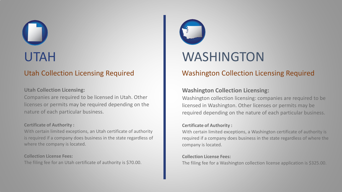## UTAH

## Utah Collection Licensing Required

## **Utah Collection Licensing:**

Companies are required to be licensed in Utah. Other licenses or permits may be required depending on the nature of each particular business.

## **Certificate of Authority :**

With certain limited exceptions, an Utah certificate of authority is required if a company does business in the state regardless of where the company is located.

## **Collection License Fees:**

The filing fee for an Utah certificate of authority is \$70.00.



## WASHINGTON

## Washington Collection Licensing Required

## **Washington Collection Licensing:**

Washington collection licensing: companies are required to be licensed in Washington. Other licenses or permits may be required depending on the nature of each particular business.

## **Certificate of Authority :**

With certain limited exceptions, a Washington certificate of authority is required if a company does business in the state regardless of where the company is located.

## **Collection License Fees:**

The filing fee for a Washington collection license application is \$325.00.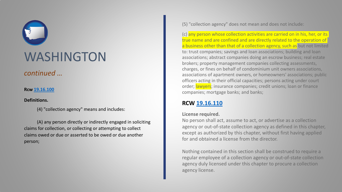

*continued …*

## **Rcw [19.16.100](http://app.leg.wa.gov/RCW/default.aspx?cite=19.16.100)**

## **Definitions.**

(4) "collection agency" means and includes:

(A) any person directly or indirectly engaged in soliciting claims for collection, or collecting or attempting to collect claims owed or due or asserted to be owed or due another person;

(5) "collection agency" does not mean and does not include:

(c) any person whose collection activities are carried on in his, her, or its true name and are confined and are directly related to the operation of a business other than that of a collection agency, such as but not limited to: trust companies; savings and loan associations; building and loan associations; abstract companies doing an escrow business; real estate brokers; property management companies collecting assessments, charges, or fines on behalf of condominium unit owners associations, associations of apartment owners, or homeowners' associations; public officers acting in their official capacities; persons acting under court order; lawyers; insurance companies; credit unions; loan or finance companies; mortgage banks; and banks;

## **RCW [19.16.110](http://app.leg.wa.gov/RCW/default.aspx?cite=19.16.110)**

## **License required.**

No person shall act, assume to act, or advertise as a collection agency or out-of-state collection agency as defined in this chapter, except as authorized by this chapter, without first having applied for and obtained a license from the director.

Nothing contained in this section shall be construed to require a regular employee of a collection agency or out-of-state collection agency duly licensed under this chapter to procure a collection agency license.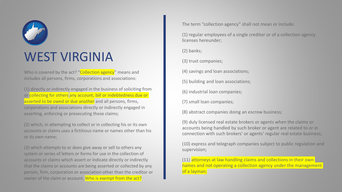# WEST VIRGINIA

Who is covered by the act? "Collection agency" means and includes all persons, firms, corporations and associations:

(1) directly or indirectly engaged in the business of soliciting from or collecting for others any account, bill or indebtedness due or asserted to be owed or due another and all persons, firms, corporations and associations directly or indirectly engaged in asserting, enforcing or prosecuting those claims;

(2) which, in attempting to collect or in collecting his or its own accounts or claims uses a fictitious name or names other than his or its own name;

(3) which attempts to or does give away or sell to others any system or series of letters or forms for use in the collection of accounts or claims which assert or indicate directly or indirectly that the claims or accounts are being asserted or collected by any person, firm, corporation or association other than the creditor or owner of the claim or account. Who is exempt from the act?

The term "collection agency" shall not mean or include:

(1) regular employees of a single creditor or of a collection agency licenses hereunder;

(2) banks;

(3) trust companies;

(4) savings and loan associations;

(5) building and loan associations;

(6) industrial loan companies;

(7) small loan companies;

(8) abstract companies doing an escrow business;

(9) duly licensed real estate brokers or agents when the claims or accounts being handled by such broker or agent are related to or in connection with such brokers' or agents' regular real estate business;

(10) express and telegraph companies subject to public regulation and supervision;

(11) attorneys at law handling claims and collections in their own names and not operating a collection agency under the management of a layman;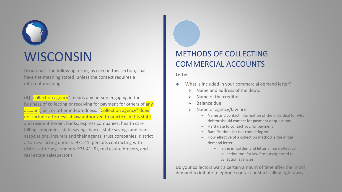# **WISCONSIN**

DEFINITIONS. The following terms, as used in this section, shall have the meaning stated, unless the context requires a different meaning:

**(A)** "collection agency" means any person engaging in the business of collecting or receiving for payment for others of any account, bill, or other indebtedness. "Collection agency" does not include attorneys at law authorized to practice in this state and resident herein, banks, express companies, health care billing companies, state savings banks, state savings and loan associations, insurers and their agents, trust companies, district attorneys acting under s. [971.41](https://docs.legis.wisconsin.gov/document/statutes/971.41), persons contracting with district attorneys under s. [971.41 \(5\),](https://docs.legis.wisconsin.gov/document/statutes/971.41(5)) real estate brokers, and real estate salespersons.

## METHODS OF COLLECTING COMMERCIAL ACCOUNTS

## **Letter**

- What is included in your commercial demand letter?
	- Name and address of the debtor
	- Name of the creditor
	- Balance due
	- Name of agency/law firm
		- Name and contact information of the individual for who debtor should contact for payment or questions
		- Hard date to contact you for payment
		- Ramifications for not contacting you
		- How effective of a collection method is the initial demand letter
			- Is the initial demand letter a more effective collection tool for law firms as opposed to collection agencies

Do your collectors wait a certain amount of time after the initial demand to initiate telephone contact or start calling right away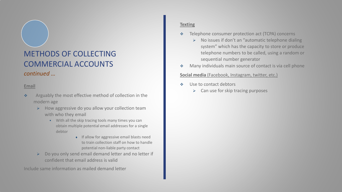## METHODS OF COLLECTING COMMERCIAL ACCOUNTS *continued …*

## **Email**

- \* Arguably the most effective method of collection in the modern age
	- $\triangleright$  How aggressive do you allow your collection team with who they email
		- With all the skip tracing tools many times you can obtain multiple potential email addresses for a single debtor
			- ♦ If allow for aggressive email blasts need to train collection staff on how to handle potential non-liable party contact
	- $\triangleright$  Do you only send email demand letter and no letter if confident that email address is valid

Include same information as mailed demand letter

### **Texting**

- ◆ Telephone consumer protection act (TCPA) concerns
	- $\triangleright$  No issues if don't an "automatic telephone dialing system" which has the capacity to store or produce telephone numbers to be called, using a random or sequential number generator
- **Many individuals main source of contact is via cell phone**

### **Social media** (Facebook, Instagram, twitter, etc.)

- ◆ Use to contact debtors
	- $\triangleright$  Can use for skip tracing purposes